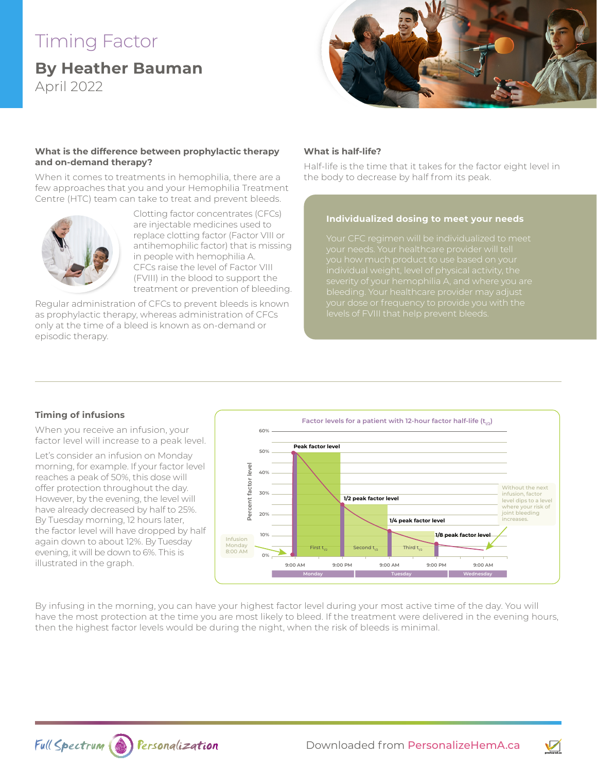# Timing Factor

**By Heather Bauman**  April 2022



#### **What is the difference between prophylactic therapy and on-demand therapy?**

When it comes to treatments in hemophilia, there are a few approaches that you and your Hemophilia Treatment Centre (HTC) team can take to treat and prevent bleeds.



Clotting factor concentrates (CFCs) are injectable medicines used to replace clotting factor (Factor VIII or antihemophilic factor) that is missing in people with hemophilia A. CFCs raise the level of Factor VIII (FVIII) in the blood to support the treatment or prevention of bleeding.

Regular administration of CFCs to prevent bleeds is known as prophylactic therapy, whereas administration of CFCs only at the time of a bleed is known as on-demand or episodic therapy.

#### **What is half-life?**

Half-life is the time that it takes for the factor eight level in the body to decrease by half from its peak.

#### **Individualized dosing to meet your needs**

your needs. Your healthcare provider will tell you how much product to use based on your

### **Timing of infusions**

When you receive an infusion, your factor level will increase to a peak level.

Let's consider an infusion on Monday morning, for example. If your factor level reaches a peak of 50%, this dose will offer protection throughout the day. However, by the evening, the level will have already decreased by half to 25%. By Tuesday morning, 12 hours later, the factor level will have dropped by half again down to about 12%. By Tuesday evening, it will be down to 6%. This is illustrated in the graph.



By infusing in the morning, you can have your highest factor level during your most active time of the day. You will have the most protection at the time you are most likely to bleed. If the treatment were delivered in the evening hours, then the highest factor levels would be during the night, when the risk of bleeds is minimal.